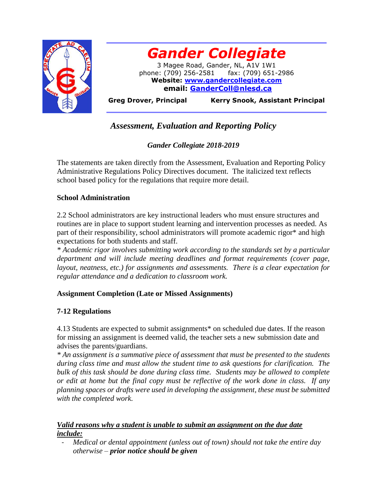



**Greg Drover, Principal Kerry Snook, Assistant Principal** 

# *Assessment, Evaluation and Reporting Policy*

## *Gander Collegiate 2018-2019*

The statements are taken directly from the Assessment, Evaluation and Reporting Policy Administrative Regulations Policy Directives document. The italicized text reflects school based policy for the regulations that require more detail.

## **School Administration**

2.2 School administrators are key instructional leaders who must ensure structures and routines are in place to support student learning and intervention processes as needed. As part of their responsibility, school administrators will promote academic rigor\* and high expectations for both students and staff.

*\* Academic rigor involves submitting work according to the standards set by a particular department and will include meeting deadlines and format requirements (cover page, layout, neatness, etc.) for assignments and assessments. There is a clear expectation for regular attendance and a dedication to classroom work.*

## **Assignment Completion (Late or Missed Assignments)**

## **7-12 Regulations**

4.13 Students are expected to submit assignments\* on scheduled due dates. If the reason for missing an assignment is deemed valid, the teacher sets a new submission date and advises the parents/guardians.

*\* An assignment is a summative piece of assessment that must be presented to the students during class time and must allow the student time to ask questions for clarification. The bulk of this task should be done during class time. Students may be allowed to complete or edit at home but the final copy must be reflective of the work done in class. If any planning spaces or drafts were used in developing the assignment, these must be submitted with the completed work.*

## *Valid reasons why a student is unable to submit an assignment on the due date include:*

- *Medical or dental appointment (unless out of town) should not take the entire day otherwise – prior notice should be given*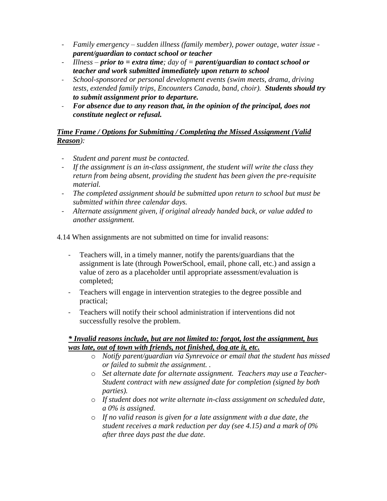- *Family emergency – sudden illness (family member), power outage, water issue parent/guardian to contact school or teacher*
- *Illness – prior to = extra time; day of = parent/guardian to contact school or teacher and work submitted immediately upon return to school*
- *School-sponsored or personal development events (swim meets, drama, driving tests, extended family trips, Encounters Canada, band, choir). Students should try to submit assignment prior to departure.*
- *For absence due to any reason that, in the opinion of the principal, does not constitute neglect or refusal.*

## *Time Frame / Options for Submitting / Completing the Missed Assignment (Valid Reason):*

- *Student and parent must be contacted.*
- *If the assignment is an in-class assignment, the student will write the class they return from being absent, providing the student has been given the pre-requisite material.*
- *The completed assignment should be submitted upon return to school but must be submitted within three calendar days.*
- *Alternate assignment given, if original already handed back, or value added to another assignment.*

4.14 When assignments are not submitted on time for invalid reasons:

- Teachers will, in a timely manner, notify the parents/guardians that the assignment is late (through PowerSchool, email, phone call, etc.) and assign a value of zero as a placeholder until appropriate assessment/evaluation is completed;
- Teachers will engage in intervention strategies to the degree possible and practical;
- Teachers will notify their school administration if interventions did not successfully resolve the problem.

## *\* Invalid reasons include, but are not limited to: forgot, lost the assignment, bus was late, out of town with friends, not finished, dog ate it, etc.*

- o *Notify parent/guardian via Synrevoice or email that the student has missed or failed to submit the assignment. .*
- o *Set alternate date for alternate assignment. Teachers may use a Teacher-Student contract with new assigned date for completion (signed by both parties).*
- o *If student does not write alternate in-class assignment on scheduled date, a 0% is assigned.*
- o *If no valid reason is given for a late assignment with a due date, the student receives a mark reduction per day (see 4.15) and a mark of 0% after three days past the due date.*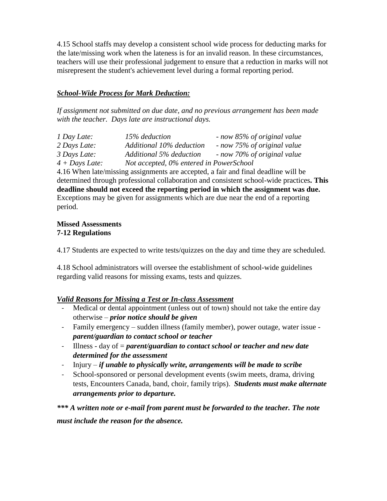4.15 School staffs may develop a consistent school wide process for deducting marks for the late/missing work when the lateness is for an invalid reason. In these circumstances, teachers will use their professional judgement to ensure that a reduction in marks will not misrepresent the student's achievement level during a formal reporting period.

## *School-Wide Process for Mark Deduction:*

*If assignment not submitted on due date, and no previous arrangement has been made with the teacher. Days late are instructional days.*

| 1 Day Late:      | 15% deduction                           | - now 85% of original value |
|------------------|-----------------------------------------|-----------------------------|
| 2 Days Late:     | Additional 10% deduction                | - now 75% of original value |
| 3 Days Late:     | Additional 5% deduction                 | now 70% of original value   |
| $4 + Days$ Late: | Not accepted, 0% entered in PowerSchool |                             |

4.16 When late/missing assignments are accepted, a fair and final deadline will be determined through professional collaboration and consistent school-wide practices**. This deadline should not exceed the reporting period in which the assignment was due.**  Exceptions may be given for assignments which are due near the end of a reporting period.

#### **Missed Assessments 7-12 Regulations**

4.17 Students are expected to write tests/quizzes on the day and time they are scheduled.

4.18 School administrators will oversee the establishment of school-wide guidelines regarding valid reasons for missing exams, tests and quizzes.

## *Valid Reasons for Missing a Test or In-class Assessment*

- Medical or dental appointment (unless out of town) should not take the entire day otherwise – *prior notice should be given*
- Family emergency sudden illness (family member), power outage, water issue *parent/guardian to contact school or teacher*
- Illness day of = *parent/guardian to contact school or teacher and new date determined for the assessment*
- Injury *if unable to physically write, arrangements will be made to scribe*
- School-sponsored or personal development events (swim meets, drama, driving tests, Encounters Canada, band, choir, family trips). *Students must make alternate arrangements prior to departure.*

*\*\*\* A written note or e-mail from parent must be forwarded to the teacher. The note must include the reason for the absence.*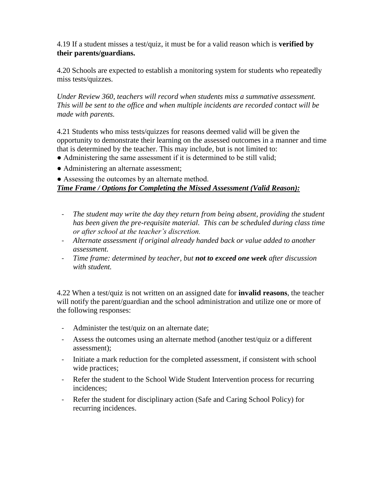4.19 If a student misses a test/quiz, it must be for a valid reason which is **verified by their parents/guardians.** 

4.20 Schools are expected to establish a monitoring system for students who repeatedly miss tests/quizzes.

*Under Review 360, teachers will record when students miss a summative assessment. This will be sent to the office and when multiple incidents are recorded contact will be made with parents.*

4.21 Students who miss tests/quizzes for reasons deemed valid will be given the opportunity to demonstrate their learning on the assessed outcomes in a manner and time that is determined by the teacher. This may include, but is not limited to:

- Administering the same assessment if it is determined to be still valid;
- Administering an alternate assessment;

• Assessing the outcomes by an alternate method.

#### *Time Frame / Options for Completing the Missed Assessment (Valid Reason):*

- The student may write the day they return from being absent, providing the student *has been given the pre-requisite material. This can be scheduled during class time or after school at the teacher's discretion.*
- *Alternate assessment if original already handed back or value added to another assessment.*
- *Time frame: determined by teacher, but not to exceed one week after discussion with student.*

4.22 When a test/quiz is not written on an assigned date for **invalid reasons**, the teacher will notify the parent/guardian and the school administration and utilize one or more of the following responses:

- Administer the test/quiz on an alternate date;
- Assess the outcomes using an alternate method (another test/quiz or a different assessment);
- Initiate a mark reduction for the completed assessment, if consistent with school wide practices;
- Refer the student to the School Wide Student Intervention process for recurring incidences;
- Refer the student for disciplinary action (Safe and Caring School Policy) for recurring incidences.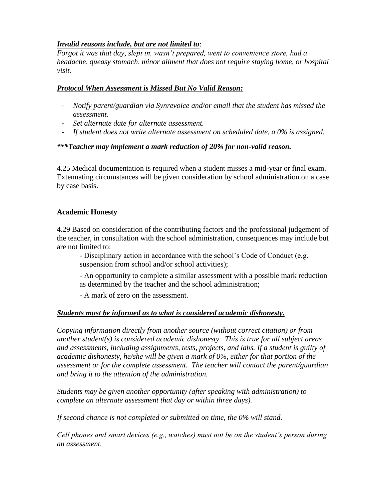## *Invalid reasons include, but are not limited to*:

*Forgot it was that day, slept in, wasn't prepared, went to convenience store, had a headache, queasy stomach, minor ailment that does not require staying home, or hospital visit.*

## *Protocol When Assessment is Missed But No Valid Reason:*

- *Notify parent/guardian via Synrevoice and/or email that the student has missed the assessment.*
- *Set alternate date for alternate assessment.*
- *If student does not write alternate assessment on scheduled date, a 0% is assigned.*

## *\*\*\*Teacher may implement a mark reduction of 20% for non-valid reason.*

4.25 Medical documentation is required when a student misses a mid-year or final exam. Extenuating circumstances will be given consideration by school administration on a case by case basis.

## **Academic Honesty**

4.29 Based on consideration of the contributing factors and the professional judgement of the teacher, in consultation with the school administration, consequences may include but are not limited to:

- Disciplinary action in accordance with the school's Code of Conduct (e.g. suspension from school and/or school activities);

- An opportunity to complete a similar assessment with a possible mark reduction as determined by the teacher and the school administration;

- A mark of zero on the assessment.

## *Students must be informed as to what is considered academic dishonesty.*

*Copying information directly from another source (without correct citation) or from another student(s) is considered academic dishonesty. This is true for all subject areas and assessments, including assignments, tests, projects, and labs. If a student is guilty of academic dishonesty, he/she will be given a mark of 0%, either for that portion of the assessment or for the complete assessment. The teacher will contact the parent/guardian and bring it to the attention of the administration.*

*Students may be given another opportunity (after speaking with administration) to complete an alternate assessment that day or within three days).* 

*If second chance is not completed or submitted on time, the 0% will stand.*

*Cell phones and smart devices (e.g., watches) must not be on the student's person during an assessment.*